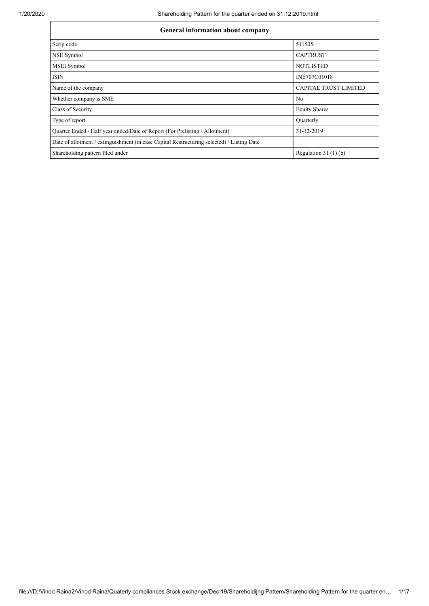| <b>General information about company</b>                                                   |                              |  |  |  |  |  |
|--------------------------------------------------------------------------------------------|------------------------------|--|--|--|--|--|
| Scrip code                                                                                 | 511505                       |  |  |  |  |  |
| NSE Symbol                                                                                 | <b>CAPTRUST</b>              |  |  |  |  |  |
| MSEI Symbol                                                                                | <b>NOTLISTED</b>             |  |  |  |  |  |
| ISIN                                                                                       | INE707C01018                 |  |  |  |  |  |
| Name of the company                                                                        | <b>CAPITAL TRUST LIMITED</b> |  |  |  |  |  |
| Whether company is SME                                                                     | N <sub>o</sub>               |  |  |  |  |  |
| Class of Security                                                                          | <b>Equity Shares</b>         |  |  |  |  |  |
| Type of report                                                                             | <b>Ouarterly</b>             |  |  |  |  |  |
| Quarter Ended / Half year ended/Date of Report (For Prelisting / Allotment)                | 31-12-2019                   |  |  |  |  |  |
| Date of allotment / extinguishment (in case Capital Restructuring selected) / Listing Date |                              |  |  |  |  |  |
| Shareholding pattern filed under                                                           | Regulation $31(1)(b)$        |  |  |  |  |  |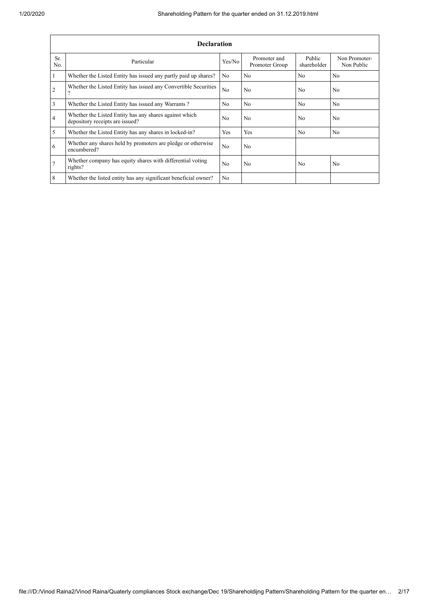|                | <b>Declaration</b>                                                                        |                |                                |                       |                             |  |  |  |  |
|----------------|-------------------------------------------------------------------------------------------|----------------|--------------------------------|-----------------------|-----------------------------|--|--|--|--|
| Sr.<br>No.     | Particular                                                                                | Yes/No         | Promoter and<br>Promoter Group | Public<br>shareholder | Non Promoter-<br>Non Public |  |  |  |  |
|                | Whether the Listed Entity has issued any partly paid up shares?                           | N <sub>0</sub> | N <sub>0</sub>                 | N <sub>0</sub>        | N <sub>0</sub>              |  |  |  |  |
| $\overline{2}$ | Whether the Listed Entity has issued any Convertible Securities<br>$\Omega$               | N <sub>0</sub> | No                             | No                    | N <sub>0</sub>              |  |  |  |  |
| 3              | Whether the Listed Entity has issued any Warrants?                                        | N <sub>0</sub> | No                             | N <sub>o</sub>        | N <sub>0</sub>              |  |  |  |  |
| 4              | Whether the Listed Entity has any shares against which<br>depository receipts are issued? | N <sub>0</sub> | No                             | N <sub>0</sub>        | N <sub>0</sub>              |  |  |  |  |
| 5              | Whether the Listed Entity has any shares in locked-in?                                    | Yes            | Yes                            | N <sub>0</sub>        | N <sub>0</sub>              |  |  |  |  |
| 6              | Whether any shares held by promoters are pledge or otherwise<br>encumbered?               | N <sub>0</sub> | No                             |                       |                             |  |  |  |  |
| 7              | Whether company has equity shares with differential voting<br>rights?                     | N <sub>0</sub> | No                             | N <sub>0</sub>        | N <sub>o</sub>              |  |  |  |  |
| 8              | Whether the listed entity has any significant beneficial owner?                           | N <sub>0</sub> |                                |                       |                             |  |  |  |  |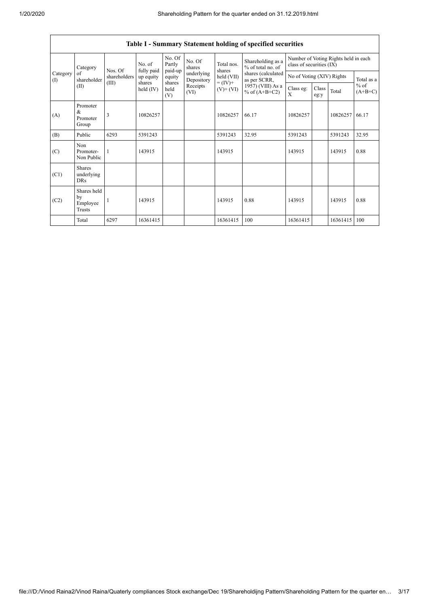$\overline{1}$ 

|                                                             | Table I - Summary Statement holding of specified securities |                       |                       |                             |                                            |                                                                            |                                        |                                                                  |       |                     |       |
|-------------------------------------------------------------|-------------------------------------------------------------|-----------------------|-----------------------|-----------------------------|--------------------------------------------|----------------------------------------------------------------------------|----------------------------------------|------------------------------------------------------------------|-------|---------------------|-------|
| Category<br>Category<br>of<br>shareholder<br>$($ I)<br>(II) |                                                             | Nos. Of               | No. of<br>fully paid  | No. Of<br>Partly<br>paid-up | No. Of<br>shares                           | Total nos.<br>shares                                                       | Shareholding as a<br>% of total no. of | Number of Voting Rights held in each<br>class of securities (IX) |       |                     |       |
|                                                             | shareholders                                                | up equity             | equity                | underlying<br>Depository    | held (VII)<br>$= (IV) +$<br>$(V)$ + $(VI)$ | shares (calculated<br>as per SCRR,<br>1957) (VIII) As a<br>% of $(A+B+C2)$ | No of Voting (XIV) Rights              |                                                                  |       | Total as a          |       |
|                                                             | (III)                                                       | shares<br>held $(IV)$ | shares<br>held<br>(V) | Receipts<br>(VI)            |                                            |                                                                            | Class eg:<br>X                         | Class<br>eg:y                                                    | Total | $%$ of<br>$(A+B+C)$ |       |
| (A)                                                         | Promoter<br>&<br>Promoter<br>Group                          | 3                     | 10826257              |                             |                                            | 10826257                                                                   | 66.17                                  | 10826257                                                         |       | 10826257            | 66.17 |
| (B)                                                         | Public                                                      | 6293                  | 5391243               |                             |                                            | 5391243                                                                    | 32.95                                  | 5391243                                                          |       | 5391243             | 32.95 |
| (C)                                                         | Non<br>Promoter-<br>Non Public                              |                       | 143915                |                             |                                            | 143915                                                                     |                                        | 143915                                                           |       | 143915              | 0.88  |
| (C1)                                                        | <b>Shares</b><br>underlying<br><b>DRs</b>                   |                       |                       |                             |                                            |                                                                            |                                        |                                                                  |       |                     |       |
| (C2)                                                        | Shares held<br>by<br>Employee<br>Trusts                     |                       | 143915                |                             |                                            | 143915                                                                     | 0.88                                   | 143915                                                           |       | 143915              | 0.88  |
|                                                             | Total                                                       | 6297                  | 16361415              |                             |                                            | 16361415                                                                   | 100                                    | 16361415                                                         |       | 16361415            | 100   |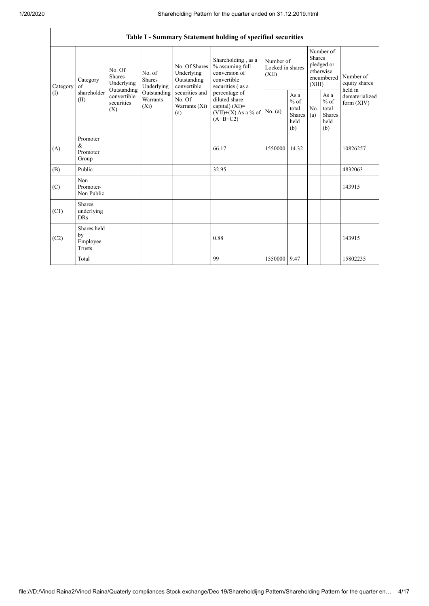$\mathbf{r}$ 

| Table I - Summary Statement holding of specified securities |                                                |                                                                                                                                                                         |                                                  |                                                                                         |                                                                                           |                                                  |            |                                                                               |                                |                                       |
|-------------------------------------------------------------|------------------------------------------------|-------------------------------------------------------------------------------------------------------------------------------------------------------------------------|--------------------------------------------------|-----------------------------------------------------------------------------------------|-------------------------------------------------------------------------------------------|--------------------------------------------------|------------|-------------------------------------------------------------------------------|--------------------------------|---------------------------------------|
| Category<br>(1)                                             | Category<br>$\alpha$ f<br>shareholder<br>(II)  | No. Of<br>No. of<br><b>Shares</b><br><b>Shares</b><br>Underlying<br>Underlying<br>Outstanding<br>Outstanding<br>convertible<br>Warrants<br>securities<br>$(X_i)$<br>(X) |                                                  | No. Of Shares<br>Underlying<br>Outstanding<br>convertible                               | Shareholding, as a<br>% assuming full<br>conversion of<br>convertible<br>securities (as a | Number of<br>Locked in shares<br>(XII)           |            | Number of<br><b>Shares</b><br>pledged or<br>otherwise<br>encumbered<br>(XIII) |                                | Number of<br>equity shares<br>held in |
|                                                             |                                                |                                                                                                                                                                         | securities and<br>No. Of<br>Warrants (Xi)<br>(a) | percentage of<br>diluted share<br>capital) (XI)=<br>$(VII)+(X)$ As a % of<br>$(A+B+C2)$ | No. (a)                                                                                   | As a<br>$%$ of<br>total<br>Shares<br>held<br>(b) | No.<br>(a) | As a<br>$%$ of<br>total<br><b>Shares</b><br>held<br>(b)                       | dematerialized<br>form $(XIV)$ |                                       |
| (A)                                                         | Promoter<br>$\&$<br>Promoter<br>Group          |                                                                                                                                                                         |                                                  |                                                                                         | 66.17                                                                                     | 1550000                                          | 14.32      |                                                                               |                                | 10826257                              |
| (B)                                                         | Public                                         |                                                                                                                                                                         |                                                  |                                                                                         | 32.95                                                                                     |                                                  |            |                                                                               |                                | 4832063                               |
| (C)                                                         | Non<br>Promoter-<br>Non Public                 |                                                                                                                                                                         |                                                  |                                                                                         |                                                                                           |                                                  |            |                                                                               |                                | 143915                                |
| (C1)                                                        | <b>Shares</b><br>underlying<br><b>DRs</b>      |                                                                                                                                                                         |                                                  |                                                                                         |                                                                                           |                                                  |            |                                                                               |                                |                                       |
| (C2)                                                        | Shares held<br>by<br>Employee<br><b>Trusts</b> |                                                                                                                                                                         |                                                  |                                                                                         | 0.88                                                                                      |                                                  |            |                                                                               |                                | 143915                                |
|                                                             | Total                                          |                                                                                                                                                                         |                                                  |                                                                                         | 99                                                                                        | 1550000                                          | 9.47       |                                                                               |                                | 15802235                              |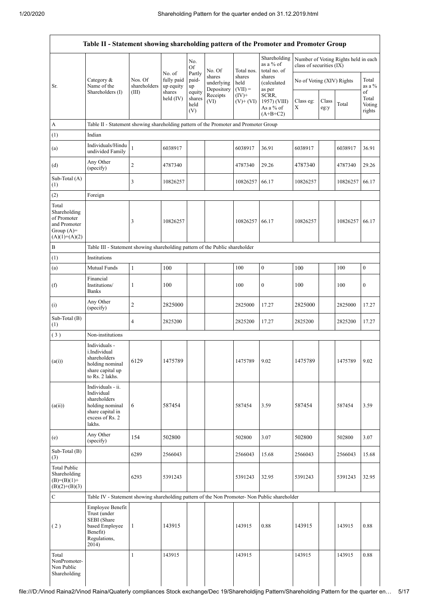| Table II - Statement showing shareholding pattern of the Promoter and Promoter Group    |                                                                                                                     |                                                                                      |                                             |                                 |                                    |                             |                                                  |                           |               |                                      |                           |
|-----------------------------------------------------------------------------------------|---------------------------------------------------------------------------------------------------------------------|--------------------------------------------------------------------------------------|---------------------------------------------|---------------------------------|------------------------------------|-----------------------------|--------------------------------------------------|---------------------------|---------------|--------------------------------------|---------------------------|
|                                                                                         |                                                                                                                     |                                                                                      |                                             | No.<br>Of                       | No. Of                             | Total nos.                  | Shareholding<br>as a % of<br>total no. of        | class of securities (IX)  |               | Number of Voting Rights held in each |                           |
| Sr.                                                                                     | Category &<br>Name of the<br>Shareholders (I)                                                                       | Nos. Of<br>shareholders<br>(III)                                                     | No. of<br>fully paid<br>up equity<br>shares | Partly<br>paid-<br>up<br>equity | shares<br>underlying<br>Depository | shares<br>held<br>$(VII) =$ | shares<br>(calculated<br>as per                  | No of Voting (XIV) Rights |               |                                      | Total<br>as a $%$<br>of   |
|                                                                                         |                                                                                                                     |                                                                                      | held $(IV)$                                 | shares<br>held<br>(V)           | Receipts<br>(VI)                   | $(IV)+$<br>$(V)$ + $(VI)$   | SCRR,<br>1957) (VIII)<br>As a % of<br>$(A+B+C2)$ | Class eg:<br>X            | Class<br>eg:y | Total                                | Total<br>Voting<br>rights |
| A                                                                                       |                                                                                                                     | Table II - Statement showing shareholding pattern of the Promoter and Promoter Group |                                             |                                 |                                    |                             |                                                  |                           |               |                                      |                           |
| (1)                                                                                     | Indian                                                                                                              |                                                                                      |                                             |                                 |                                    |                             |                                                  |                           |               |                                      |                           |
| (a)                                                                                     | Individuals/Hindu<br>undivided Family                                                                               | $\mathbf{1}$                                                                         | 6038917                                     |                                 |                                    | 6038917                     | 36.91                                            | 6038917                   |               | 6038917                              | 36.91                     |
| (d)                                                                                     | Any Other<br>(specify)                                                                                              | $\overline{2}$                                                                       | 4787340                                     |                                 |                                    | 4787340                     | 29.26                                            | 4787340                   |               | 4787340                              | 29.26                     |
| Sub-Total (A)<br>(1)                                                                    |                                                                                                                     | 3                                                                                    | 10826257                                    |                                 |                                    | 10826257                    | 66.17                                            | 10826257                  |               | 10826257                             | 66.17                     |
| (2)                                                                                     | Foreign                                                                                                             |                                                                                      |                                             |                                 |                                    |                             |                                                  |                           |               |                                      |                           |
| Total<br>Shareholding<br>of Promoter<br>and Promoter<br>Group $(A)=$<br>$(A)(1)+(A)(2)$ |                                                                                                                     | 3                                                                                    | 10826257                                    |                                 |                                    | 10826257                    | 66.17                                            | 10826257                  |               | 10826257                             | 66.17                     |
| $\, {\bf B}$                                                                            | Table III - Statement showing shareholding pattern of the Public shareholder                                        |                                                                                      |                                             |                                 |                                    |                             |                                                  |                           |               |                                      |                           |
| (1)                                                                                     | Institutions                                                                                                        |                                                                                      |                                             |                                 |                                    |                             |                                                  |                           |               |                                      |                           |
| (a)                                                                                     | Mutual Funds                                                                                                        | $\,1\,$                                                                              | 100                                         |                                 |                                    | 100                         | 0                                                | 100                       |               | 100                                  | $\boldsymbol{0}$          |
| (f)                                                                                     | Financial<br>Institutions/<br><b>Banks</b>                                                                          | 1                                                                                    | 100                                         |                                 |                                    | 100                         | 0                                                | 100                       |               | 100                                  | $\boldsymbol{0}$          |
| (i)                                                                                     | Any Other<br>(specify)                                                                                              | $\overline{c}$                                                                       | 2825000                                     |                                 |                                    | 2825000                     | 17.27                                            | 2825000                   |               | 2825000                              | 17.27                     |
| Sub-Total (B)<br>(1)                                                                    |                                                                                                                     | 4                                                                                    | 2825200                                     |                                 |                                    | 2825200                     | 17.27                                            | 2825200                   |               | 2825200                              | 17.27                     |
| (3)                                                                                     | Non-institutions                                                                                                    |                                                                                      |                                             |                                 |                                    |                             |                                                  |                           |               |                                      |                           |
| (a(i))                                                                                  | Individuals -<br>i.Individual<br>shareholders<br>holding nominal<br>share capital up<br>to Rs. 2 lakhs.             | 6129                                                                                 | 1475789                                     |                                 |                                    | 1475789                     | 9.02                                             | 1475789                   |               | 1475789                              | 9.02                      |
| (a(ii))                                                                                 | Individuals - ii.<br>Individual<br>shareholders<br>holding nominal<br>share capital in<br>excess of Rs. 2<br>lakhs. | 6                                                                                    | 587454                                      |                                 |                                    | 587454                      | 3.59                                             | 587454                    |               | 587454                               | 3.59                      |
| (e)                                                                                     | Any Other<br>(specify)                                                                                              | 154                                                                                  | 502800                                      |                                 |                                    | 502800                      | 3.07                                             | 502800                    |               | 502800                               | 3.07                      |
| Sub-Total (B)<br>(3)                                                                    |                                                                                                                     | 6289                                                                                 | 2566043                                     |                                 |                                    | 2566043                     | 15.68                                            | 2566043                   |               | 2566043                              | 15.68                     |
| <b>Total Public</b><br>Shareholding<br>$(B)=(B)(1)+$<br>$(B)(2)+(B)(3)$                 |                                                                                                                     | 6293                                                                                 | 5391243                                     |                                 |                                    | 5391243                     | 32.95                                            | 5391243                   |               | 5391243                              | 32.95                     |
| $\mathbf C$                                                                             | Table IV - Statement showing shareholding pattern of the Non Promoter- Non Public shareholder                       |                                                                                      |                                             |                                 |                                    |                             |                                                  |                           |               |                                      |                           |
| (2)                                                                                     | Employee Benefit<br>Trust (under<br>SEBI (Share<br>based Employee<br>Benefit)<br>Regulations,<br>2014)              | -1                                                                                   | 143915                                      |                                 |                                    | 143915                      | 0.88                                             | 143915                    |               | 143915                               | 0.88                      |
| Total<br>NonPromoter-<br>Non Public<br>Shareholding                                     |                                                                                                                     | $\mathbf{1}$                                                                         | 143915                                      |                                 |                                    | 143915                      |                                                  | 143915                    |               | 143915                               | 0.88                      |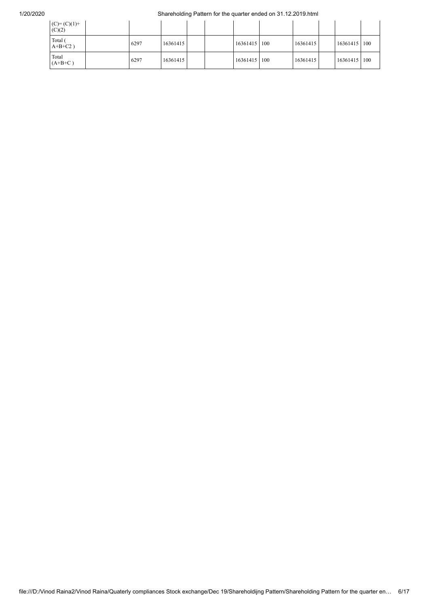## 1/20/2020 Shareholding Pattern for the quarter ended on 31.12.2019.html

| $(C) = (C)(1) +$<br>(C)(2) |      |          |  |              |          |                |  |
|----------------------------|------|----------|--|--------------|----------|----------------|--|
| Total (<br>$A+B+C2$ )      | 6297 | 16361415 |  | 16361415 100 | 16361415 | 16361415   100 |  |
| Total<br>$(A+B+C)$         | 6297 | 16361415 |  | 16361415 100 | 16361415 | 16361415   100 |  |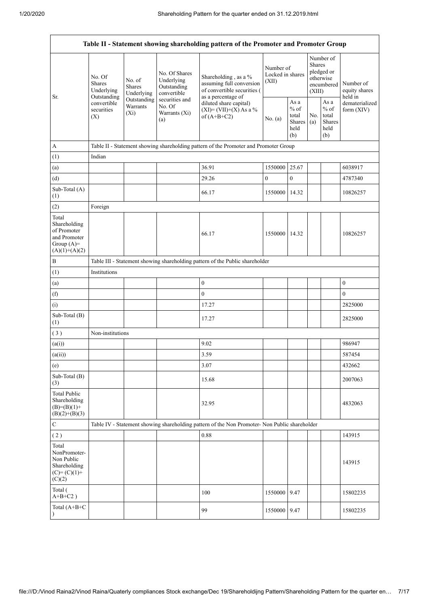|                                                                                         |                                                                                                                         |                                |                                                                                                               | Table II - Statement showing shareholding pattern of the Promoter and Promoter Group                  |                                        |                                                         |                                                                               |                                                         |                                       |
|-----------------------------------------------------------------------------------------|-------------------------------------------------------------------------------------------------------------------------|--------------------------------|---------------------------------------------------------------------------------------------------------------|-------------------------------------------------------------------------------------------------------|----------------------------------------|---------------------------------------------------------|-------------------------------------------------------------------------------|---------------------------------------------------------|---------------------------------------|
| Sr.                                                                                     | No. Of<br>No. of<br>Shares<br><b>Shares</b><br>Underlying<br>Outstanding<br>convertible<br>securities<br>$(X_i)$<br>(X) | Underlying                     | No. Of Shares<br>Underlying<br>Outstanding<br>convertible<br>securities and<br>No. Of<br>Warrants (Xi)<br>(a) | Shareholding, as a %<br>assuming full conversion<br>of convertible securities (<br>as a percentage of | Number of<br>Locked in shares<br>(XII) |                                                         | Number of<br><b>Shares</b><br>pledged or<br>otherwise<br>encumbered<br>(XIII) |                                                         | Number of<br>equity shares<br>held in |
|                                                                                         |                                                                                                                         | Outstanding<br><b>Warrants</b> |                                                                                                               | diluted share capital)<br>$(XI) = (VII)+(X) As a %$<br>of $(A+B+C2)$                                  | No. (a)                                | As a<br>$%$ of<br>total<br><b>Shares</b><br>held<br>(b) | No.<br>(a)                                                                    | As a<br>$%$ of<br>total<br><b>Shares</b><br>held<br>(b) | dematerialized<br>form $(XIV)$        |
| A                                                                                       |                                                                                                                         |                                |                                                                                                               | Table II - Statement showing shareholding pattern of the Promoter and Promoter Group                  |                                        |                                                         |                                                                               |                                                         |                                       |
| (1)                                                                                     | Indian                                                                                                                  |                                |                                                                                                               |                                                                                                       |                                        |                                                         |                                                                               |                                                         |                                       |
| (a)                                                                                     |                                                                                                                         |                                |                                                                                                               | 36.91                                                                                                 | 1550000                                | 25.67                                                   |                                                                               |                                                         | 6038917                               |
| (d)                                                                                     |                                                                                                                         |                                |                                                                                                               | 29.26                                                                                                 | $\boldsymbol{0}$                       | $\mathbf{0}$                                            |                                                                               |                                                         | 4787340                               |
| Sub-Total (A)<br>(1)                                                                    |                                                                                                                         |                                |                                                                                                               | 66.17                                                                                                 | 1550000                                | 14.32                                                   |                                                                               |                                                         | 10826257                              |
| (2)                                                                                     | Foreign                                                                                                                 |                                |                                                                                                               |                                                                                                       |                                        |                                                         |                                                                               |                                                         |                                       |
| Total<br>Shareholding<br>of Promoter<br>and Promoter<br>Group $(A)=$<br>$(A)(1)+(A)(2)$ |                                                                                                                         |                                |                                                                                                               | 66.17                                                                                                 | 1550000                                | 14.32                                                   |                                                                               |                                                         | 10826257                              |
| B                                                                                       |                                                                                                                         |                                |                                                                                                               | Table III - Statement showing shareholding pattern of the Public shareholder                          |                                        |                                                         |                                                                               |                                                         |                                       |
| (1)                                                                                     | Institutions                                                                                                            |                                |                                                                                                               |                                                                                                       |                                        |                                                         |                                                                               |                                                         |                                       |
| (a)                                                                                     |                                                                                                                         |                                |                                                                                                               | $\boldsymbol{0}$                                                                                      |                                        |                                                         |                                                                               |                                                         | $\boldsymbol{0}$                      |
| (f)                                                                                     |                                                                                                                         |                                |                                                                                                               | $\overline{0}$                                                                                        |                                        |                                                         |                                                                               |                                                         | $\mathbf{0}$                          |
| (i)                                                                                     |                                                                                                                         |                                |                                                                                                               | 17.27                                                                                                 |                                        |                                                         |                                                                               |                                                         | 2825000                               |
| Sub-Total (B)<br>(1)                                                                    |                                                                                                                         |                                |                                                                                                               | 17.27                                                                                                 |                                        |                                                         |                                                                               |                                                         | 2825000                               |
| (3)                                                                                     | Non-institutions                                                                                                        |                                |                                                                                                               |                                                                                                       |                                        |                                                         |                                                                               |                                                         |                                       |
| (a(i))                                                                                  |                                                                                                                         |                                |                                                                                                               | 9.02                                                                                                  |                                        |                                                         |                                                                               |                                                         | 986947                                |
| (a(ii))                                                                                 |                                                                                                                         |                                |                                                                                                               | 3.59                                                                                                  |                                        |                                                         |                                                                               |                                                         | 587454                                |
| (e)                                                                                     |                                                                                                                         |                                |                                                                                                               | 3.07                                                                                                  |                                        |                                                         |                                                                               |                                                         | 432662                                |
| Sub-Total (B)<br>(3)                                                                    |                                                                                                                         |                                |                                                                                                               | 15.68                                                                                                 |                                        |                                                         |                                                                               |                                                         | 2007063                               |
| <b>Total Public</b><br>Shareholding<br>$(B)=(B)(1)+$<br>$(B)(2)+(B)(3)$                 |                                                                                                                         |                                |                                                                                                               | 32.95                                                                                                 |                                        |                                                         |                                                                               |                                                         | 4832063                               |
| ${\bf C}$                                                                               |                                                                                                                         |                                |                                                                                                               | Table IV - Statement showing shareholding pattern of the Non Promoter- Non Public shareholder         |                                        |                                                         |                                                                               |                                                         |                                       |
| (2)                                                                                     |                                                                                                                         |                                |                                                                                                               | 0.88                                                                                                  |                                        |                                                         |                                                                               |                                                         | 143915                                |
| Total<br>NonPromoter-<br>Non Public<br>Shareholding<br>$(C) = (C)(1) +$<br>(C)(2)       |                                                                                                                         |                                |                                                                                                               |                                                                                                       |                                        |                                                         |                                                                               |                                                         | 143915                                |
| Total (<br>$A+B+C2$ )                                                                   |                                                                                                                         |                                |                                                                                                               | 100                                                                                                   | 1550000                                | 9.47                                                    |                                                                               |                                                         | 15802235                              |
| Total (A+B+C                                                                            |                                                                                                                         |                                |                                                                                                               | 99                                                                                                    | 1550000 9.47                           |                                                         |                                                                               |                                                         | 15802235                              |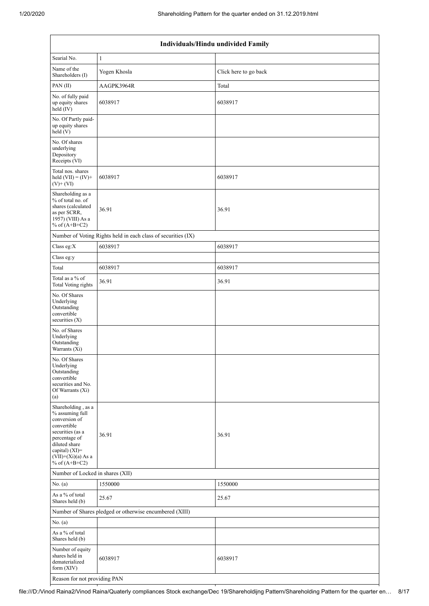| Individuals/Hindu undivided Family                                                                                                                                                       |                                                               |                       |  |  |  |  |  |  |
|------------------------------------------------------------------------------------------------------------------------------------------------------------------------------------------|---------------------------------------------------------------|-----------------------|--|--|--|--|--|--|
| Searial No.                                                                                                                                                                              | $\mathbf{1}$                                                  |                       |  |  |  |  |  |  |
| Name of the<br>Shareholders (I)                                                                                                                                                          | Yogen Khosla                                                  | Click here to go back |  |  |  |  |  |  |
| PAN(II)                                                                                                                                                                                  | AAGPK3964R                                                    | Total                 |  |  |  |  |  |  |
| No. of fully paid<br>up equity shares<br>held (IV)                                                                                                                                       | 6038917                                                       | 6038917               |  |  |  |  |  |  |
| No. Of Partly paid-<br>up equity shares<br>held(V)                                                                                                                                       |                                                               |                       |  |  |  |  |  |  |
| No. Of shares<br>underlying<br>Depository<br>Receipts (VI)                                                                                                                               |                                                               |                       |  |  |  |  |  |  |
| Total nos. shares<br>held $(VII) = (IV) +$<br>$(V)$ + $(VI)$                                                                                                                             | 6038917                                                       | 6038917               |  |  |  |  |  |  |
| Shareholding as a<br>% of total no. of<br>shares (calculated<br>as per SCRR,<br>1957) (VIII) As a<br>% of $(A+B+C2)$                                                                     | 36.91                                                         | 36.91                 |  |  |  |  |  |  |
|                                                                                                                                                                                          | Number of Voting Rights held in each class of securities (IX) |                       |  |  |  |  |  |  |
| Class eg: $X$                                                                                                                                                                            | 6038917                                                       | 6038917               |  |  |  |  |  |  |
| Class eg:y                                                                                                                                                                               |                                                               |                       |  |  |  |  |  |  |
| Total                                                                                                                                                                                    | 6038917                                                       | 6038917               |  |  |  |  |  |  |
| Total as a % of<br><b>Total Voting rights</b>                                                                                                                                            | 36.91                                                         | 36.91                 |  |  |  |  |  |  |
| No. Of Shares<br>Underlying<br>Outstanding<br>convertible<br>securities (X)                                                                                                              |                                                               |                       |  |  |  |  |  |  |
| No. of Shares<br>Underlying<br>Outstanding<br>Warrants (Xi)                                                                                                                              |                                                               |                       |  |  |  |  |  |  |
| No. Of Shares<br>Underlying<br>Outstanding<br>convertible<br>securities and No.<br>Of Warrants (Xi)<br>(a)                                                                               |                                                               |                       |  |  |  |  |  |  |
| Shareholding, as a<br>% assuming full<br>conversion of<br>convertible<br>securities (as a<br>percentage of<br>diluted share<br>capital) (XI)=<br>$(VII)+(Xi)(a)$ As a<br>% of $(A+B+C2)$ | 36.91                                                         | 36.91                 |  |  |  |  |  |  |
| Number of Locked in shares (XII)                                                                                                                                                         |                                                               |                       |  |  |  |  |  |  |
| No. (a)                                                                                                                                                                                  | 1550000                                                       | 1550000               |  |  |  |  |  |  |
| As a % of total<br>Shares held (b)                                                                                                                                                       | 25.67                                                         | 25.67                 |  |  |  |  |  |  |
|                                                                                                                                                                                          | Number of Shares pledged or otherwise encumbered (XIII)       |                       |  |  |  |  |  |  |
| No. (a)                                                                                                                                                                                  |                                                               |                       |  |  |  |  |  |  |
| As a % of total<br>Shares held (b)                                                                                                                                                       |                                                               |                       |  |  |  |  |  |  |
| Number of equity<br>shares held in<br>dematerialized<br>form $(XIV)$                                                                                                                     | 6038917                                                       | 6038917               |  |  |  |  |  |  |
| Reason for not providing PAN                                                                                                                                                             |                                                               |                       |  |  |  |  |  |  |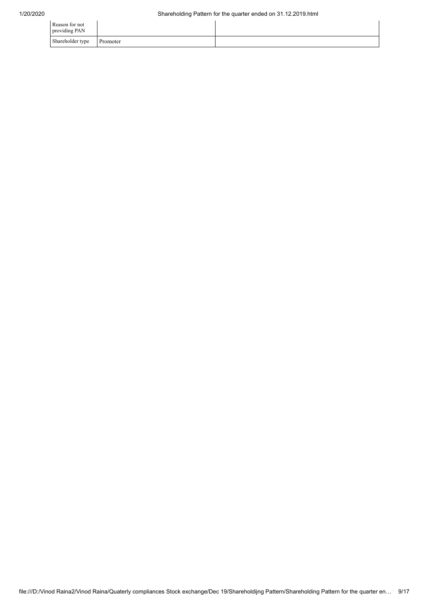| Reason for not<br>providing PAN |          |  |
|---------------------------------|----------|--|
| Shareholder type                | Promoter |  |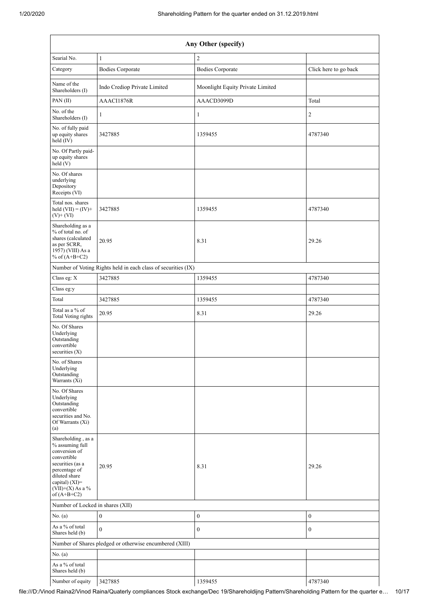|                                                                                                                                                                                      | Any Other (specify)                                           |                                  |                       |  |  |  |  |  |
|--------------------------------------------------------------------------------------------------------------------------------------------------------------------------------------|---------------------------------------------------------------|----------------------------------|-----------------------|--|--|--|--|--|
| Searial No.                                                                                                                                                                          | $\mathbf{1}$                                                  | $\overline{2}$                   |                       |  |  |  |  |  |
| Category                                                                                                                                                                             | <b>Bodies Corporate</b>                                       | <b>Bodies Corporate</b>          | Click here to go back |  |  |  |  |  |
| Name of the<br>Shareholders (I)                                                                                                                                                      | Indo Crediop Private Limited                                  | Moonlight Equity Private Limited |                       |  |  |  |  |  |
| PAN(II)                                                                                                                                                                              | AAACI1876R                                                    | AAACD3099D                       | Total                 |  |  |  |  |  |
| No. of the<br>Shareholders (I)                                                                                                                                                       | 1                                                             | $\mathbf{1}$                     | $\overline{c}$        |  |  |  |  |  |
| No. of fully paid<br>up equity shares<br>held (IV)                                                                                                                                   | 3427885                                                       | 1359455                          | 4787340               |  |  |  |  |  |
| No. Of Partly paid-<br>up equity shares<br>held (V)                                                                                                                                  |                                                               |                                  |                       |  |  |  |  |  |
| No. Of shares<br>underlying<br>Depository<br>Receipts (VI)                                                                                                                           |                                                               |                                  |                       |  |  |  |  |  |
| Total nos. shares<br>held $(VII) = (IV) +$<br>$(V)+(VI)$                                                                                                                             | 3427885                                                       | 1359455                          | 4787340               |  |  |  |  |  |
| Shareholding as a<br>% of total no. of<br>shares (calculated<br>as per SCRR,<br>1957) (VIII) As a<br>% of $(A+B+C2)$                                                                 | 20.95                                                         | 8.31                             | 29.26                 |  |  |  |  |  |
|                                                                                                                                                                                      | Number of Voting Rights held in each class of securities (IX) |                                  |                       |  |  |  |  |  |
| Class eg: X                                                                                                                                                                          | 3427885                                                       | 1359455                          | 4787340               |  |  |  |  |  |
| Class eg:y                                                                                                                                                                           |                                                               |                                  |                       |  |  |  |  |  |
| Total                                                                                                                                                                                | 3427885                                                       | 1359455                          | 4787340               |  |  |  |  |  |
| Total as a % of<br><b>Total Voting rights</b>                                                                                                                                        | 20.95                                                         | 8.31                             | 29.26                 |  |  |  |  |  |
| No. Of Shares<br>Underlying<br>Outstanding<br>convertible<br>securities $(X)$                                                                                                        |                                                               |                                  |                       |  |  |  |  |  |
| No. of Shares<br>Underlying<br>Outstanding<br>Warrants (Xi)                                                                                                                          |                                                               |                                  |                       |  |  |  |  |  |
| No. Of Shares<br>Underlying<br>Outstanding<br>convertible<br>securities and No.<br>Of Warrants (Xi)<br>(a)                                                                           |                                                               |                                  |                       |  |  |  |  |  |
| Shareholding, as a<br>% assuming full<br>conversion of<br>convertible<br>securities (as a<br>percentage of<br>diluted share<br>capital) (XI)=<br>$(VII)+(X)$ As a %<br>of $(A+B+C2)$ | 20.95                                                         | 8.31                             | 29.26                 |  |  |  |  |  |
| Number of Locked in shares (XII)                                                                                                                                                     |                                                               |                                  |                       |  |  |  |  |  |
| No. (a)                                                                                                                                                                              | $\boldsymbol{0}$<br>$\boldsymbol{0}$<br>$\boldsymbol{0}$      |                                  |                       |  |  |  |  |  |
| As a % of total<br>Shares held (b)                                                                                                                                                   | $\mathbf{0}$                                                  | $\mathbf{0}$                     | $\overline{0}$        |  |  |  |  |  |
|                                                                                                                                                                                      | Number of Shares pledged or otherwise encumbered (XIII)       |                                  |                       |  |  |  |  |  |
| No. (a)                                                                                                                                                                              |                                                               |                                  |                       |  |  |  |  |  |
| As a % of total<br>Shares held (b)                                                                                                                                                   |                                                               |                                  |                       |  |  |  |  |  |
| Number of equity                                                                                                                                                                     | 3427885                                                       | 1359455                          | 4787340               |  |  |  |  |  |

 $\mathbf{I}$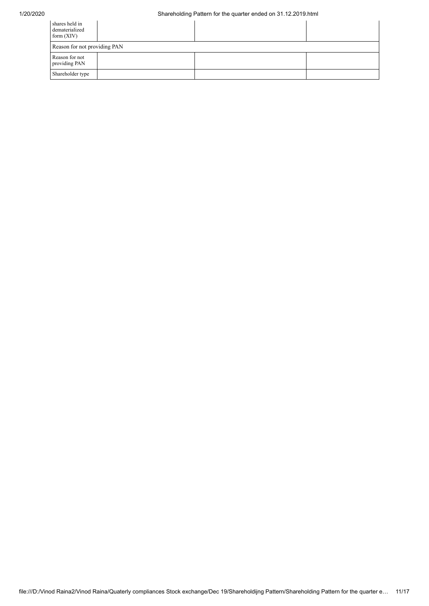| shares held in<br>dematerialized<br>form $(XIV)$ |  |  |  |  |  |  |  |
|--------------------------------------------------|--|--|--|--|--|--|--|
| Reason for not providing PAN                     |  |  |  |  |  |  |  |
| Reason for not<br>providing PAN                  |  |  |  |  |  |  |  |
| Shareholder type                                 |  |  |  |  |  |  |  |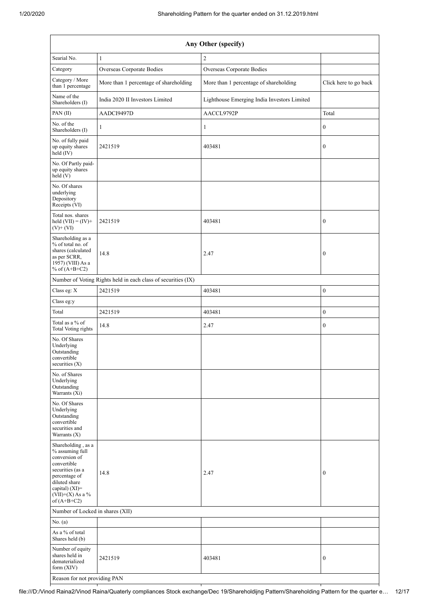| Any Other (specify)                                                                                                                                                                  |                                                               |                                             |                       |  |  |  |  |
|--------------------------------------------------------------------------------------------------------------------------------------------------------------------------------------|---------------------------------------------------------------|---------------------------------------------|-----------------------|--|--|--|--|
| Searial No.                                                                                                                                                                          | $\mathbf{1}$                                                  | $\overline{c}$                              |                       |  |  |  |  |
| Category                                                                                                                                                                             | Overseas Corporate Bodies                                     | Overseas Corporate Bodies                   |                       |  |  |  |  |
| Category / More<br>than 1 percentage                                                                                                                                                 | More than 1 percentage of shareholding                        | More than 1 percentage of shareholding      | Click here to go back |  |  |  |  |
| Name of the<br>Shareholders (I)                                                                                                                                                      | India 2020 II Investors Limited                               | Lighthouse Emerging India Investors Limited |                       |  |  |  |  |
| PAN(II)                                                                                                                                                                              | AADCI9497D                                                    | AACCL9792P                                  | Total                 |  |  |  |  |
| No. of the<br>Shareholders (I)                                                                                                                                                       | $\mathbf{1}$                                                  | $\mathbf{1}$                                | $\boldsymbol{0}$      |  |  |  |  |
| No. of fully paid<br>up equity shares<br>held (IV)                                                                                                                                   | 2421519                                                       | 403481                                      | $\boldsymbol{0}$      |  |  |  |  |
| No. Of Partly paid-<br>up equity shares<br>held(V)                                                                                                                                   |                                                               |                                             |                       |  |  |  |  |
| No. Of shares<br>underlying<br>Depository<br>Receipts (VI)                                                                                                                           |                                                               |                                             |                       |  |  |  |  |
| Total nos. shares<br>held $(VII) = (IV) +$<br>$(V)$ + $(VI)$                                                                                                                         | 2421519                                                       | 403481                                      | $\boldsymbol{0}$      |  |  |  |  |
| Shareholding as a<br>% of total no. of<br>shares (calculated<br>as per SCRR,<br>1957) (VIII) As a<br>% of $(A+B+C2)$                                                                 | 14.8                                                          | 2.47                                        | $\boldsymbol{0}$      |  |  |  |  |
|                                                                                                                                                                                      | Number of Voting Rights held in each class of securities (IX) |                                             |                       |  |  |  |  |
| Class eg: X                                                                                                                                                                          | 2421519                                                       | 403481                                      | $\boldsymbol{0}$      |  |  |  |  |
| Class eg:y                                                                                                                                                                           |                                                               |                                             |                       |  |  |  |  |
| Total                                                                                                                                                                                | 2421519                                                       | 403481                                      | $\boldsymbol{0}$      |  |  |  |  |
| Total as a % of<br><b>Total Voting rights</b>                                                                                                                                        | 14.8                                                          | 2.47                                        | $\boldsymbol{0}$      |  |  |  |  |
| No. Of Shares<br>Underlying<br>Outstanding<br>convertible<br>securities (X)                                                                                                          |                                                               |                                             |                       |  |  |  |  |
| No. of Shares<br>Underlying<br>Outstanding<br>Warrants (Xi)                                                                                                                          |                                                               |                                             |                       |  |  |  |  |
| No. Of Shares<br>Underlying<br>Outstanding<br>convertible<br>securities and<br>Warrants $(X)$                                                                                        |                                                               |                                             |                       |  |  |  |  |
| Shareholding, as a<br>% assuming full<br>conversion of<br>convertible<br>securities (as a<br>percentage of<br>diluted share<br>capital) (XI)=<br>$(VII)+(X)$ As a %<br>of $(A+B+C2)$ | 14.8                                                          | 2.47                                        | $\boldsymbol{0}$      |  |  |  |  |
| Number of Locked in shares (XII)                                                                                                                                                     |                                                               |                                             |                       |  |  |  |  |
| No. (a)                                                                                                                                                                              |                                                               |                                             |                       |  |  |  |  |
| As a % of total<br>Shares held (b)                                                                                                                                                   |                                                               |                                             |                       |  |  |  |  |
| Number of equity<br>shares held in<br>dematerialized<br>form $(XIV)$                                                                                                                 | 2421519                                                       | 403481                                      | $\boldsymbol{0}$      |  |  |  |  |
|                                                                                                                                                                                      | Reason for not providing PAN                                  |                                             |                       |  |  |  |  |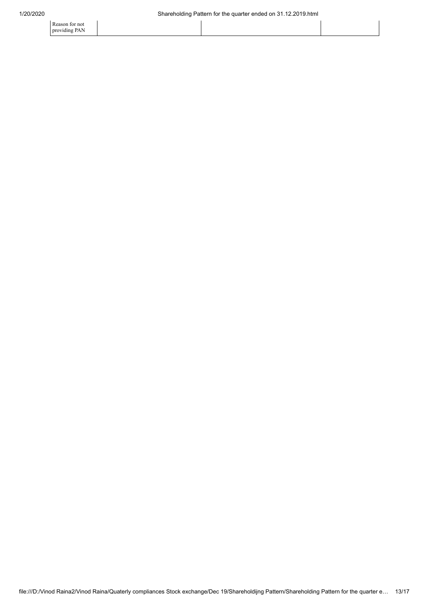Reason for not providing PAN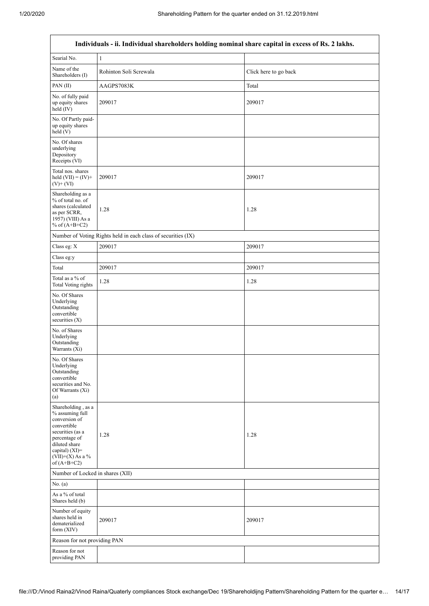| Individuals - ii. Individual shareholders holding nominal share capital in excess of Rs. 2 lakhs.                                                                                    |                        |                       |  |  |  |  |  |
|--------------------------------------------------------------------------------------------------------------------------------------------------------------------------------------|------------------------|-----------------------|--|--|--|--|--|
| Searial No.                                                                                                                                                                          | $\mathbf{1}$           |                       |  |  |  |  |  |
| Name of the<br>Shareholders (I)                                                                                                                                                      | Rohinton Soli Screwala | Click here to go back |  |  |  |  |  |
| PAN(II)                                                                                                                                                                              | AAGPS7083K             | Total                 |  |  |  |  |  |
| No. of fully paid<br>up equity shares<br>held (IV)                                                                                                                                   | 209017                 | 209017                |  |  |  |  |  |
| No. Of Partly paid-<br>up equity shares<br>held (V)                                                                                                                                  |                        |                       |  |  |  |  |  |
| No. Of shares<br>underlying<br>Depository<br>Receipts (VI)                                                                                                                           |                        |                       |  |  |  |  |  |
| Total nos. shares<br>held $(VII) = (IV) +$<br>$(V)$ + $(VI)$                                                                                                                         | 209017                 | 209017                |  |  |  |  |  |
| Shareholding as a<br>% of total no. of<br>shares (calculated<br>as per SCRR,<br>1957) (VIII) As a<br>% of $(A+B+C2)$                                                                 | 1.28                   | 1.28                  |  |  |  |  |  |
| Number of Voting Rights held in each class of securities (IX)                                                                                                                        |                        |                       |  |  |  |  |  |
| Class eg: X                                                                                                                                                                          | 209017                 | 209017                |  |  |  |  |  |
| Class eg:y                                                                                                                                                                           |                        |                       |  |  |  |  |  |
| Total                                                                                                                                                                                | 209017                 | 209017                |  |  |  |  |  |
| Total as a % of<br><b>Total Voting rights</b>                                                                                                                                        | 1.28                   | 1.28                  |  |  |  |  |  |
| No. Of Shares<br>Underlying<br>Outstanding<br>convertible<br>securities (X)                                                                                                          |                        |                       |  |  |  |  |  |
| No. of Shares<br>Underlying<br>Outstanding<br>Warrants (Xi)                                                                                                                          |                        |                       |  |  |  |  |  |
| No. Of Shares<br>Underlying<br>Outstanding<br>convertible<br>securities and No.<br>Of Warrants (Xi)<br>(a)                                                                           |                        |                       |  |  |  |  |  |
| Shareholding, as a<br>% assuming full<br>conversion of<br>convertible<br>securities (as a<br>percentage of<br>diluted share<br>capital) (XI)=<br>$(VII)+(X)$ As a %<br>of $(A+B+C2)$ | 1.28                   | 1.28                  |  |  |  |  |  |
| Number of Locked in shares (XII)                                                                                                                                                     |                        |                       |  |  |  |  |  |
| No. (a)                                                                                                                                                                              |                        |                       |  |  |  |  |  |
| As a % of total<br>Shares held (b)                                                                                                                                                   |                        |                       |  |  |  |  |  |
| Number of equity<br>shares held in<br>dematerialized<br>form (XIV)                                                                                                                   | 209017                 | 209017                |  |  |  |  |  |
| Reason for not providing PAN                                                                                                                                                         |                        |                       |  |  |  |  |  |
| Reason for not<br>providing PAN                                                                                                                                                      |                        |                       |  |  |  |  |  |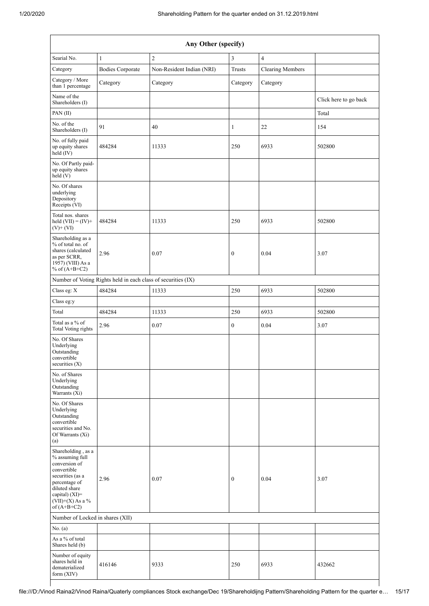| Any Other (specify)                                                                                                                                                                  |                                                               |                           |                  |                         |                       |  |  |
|--------------------------------------------------------------------------------------------------------------------------------------------------------------------------------------|---------------------------------------------------------------|---------------------------|------------------|-------------------------|-----------------------|--|--|
| Searial No.                                                                                                                                                                          | $\mathbf{1}$                                                  | $\sqrt{2}$                | 3                | $\overline{4}$          |                       |  |  |
| Category                                                                                                                                                                             | <b>Bodies Corporate</b>                                       | Non-Resident Indian (NRI) | Trusts           | <b>Clearing Members</b> |                       |  |  |
| Category / More<br>than 1 percentage                                                                                                                                                 | Category                                                      | Category                  | Category         | Category                |                       |  |  |
| Name of the<br>Shareholders (I)                                                                                                                                                      |                                                               |                           |                  |                         | Click here to go back |  |  |
| PAN(II)                                                                                                                                                                              |                                                               |                           |                  |                         | Total                 |  |  |
| No. of the<br>Shareholders (I)                                                                                                                                                       | 91                                                            | 40                        | 1                | 22                      | 154                   |  |  |
| No. of fully paid<br>up equity shares<br>held (IV)                                                                                                                                   | 484284                                                        | 11333                     | 250              | 6933                    | 502800                |  |  |
| No. Of Partly paid-<br>up equity shares<br>held (V)                                                                                                                                  |                                                               |                           |                  |                         |                       |  |  |
| No. Of shares<br>underlying<br>Depository<br>Receipts (VI)                                                                                                                           |                                                               |                           |                  |                         |                       |  |  |
| Total nos. shares<br>held $(VII) = (IV) +$<br>$(V)+(VI)$                                                                                                                             | 484284                                                        | 11333                     | 250              | 6933                    | 502800                |  |  |
| Shareholding as a<br>% of total no. of<br>shares (calculated<br>as per SCRR,<br>1957) (VIII) As a<br>% of $(A+B+C2)$                                                                 | 2.96                                                          | 0.07                      | $\boldsymbol{0}$ | 0.04                    | 3.07                  |  |  |
|                                                                                                                                                                                      | Number of Voting Rights held in each class of securities (IX) |                           |                  |                         |                       |  |  |
| Class eg: X                                                                                                                                                                          | 484284                                                        | 11333                     | 250              | 6933                    | 502800                |  |  |
| Class eg:y                                                                                                                                                                           |                                                               |                           |                  |                         |                       |  |  |
| Total                                                                                                                                                                                | 484284                                                        | 11333                     | 250              | 6933                    | 502800                |  |  |
| Total as a $\%$ of<br>Total Voting rights                                                                                                                                            | 2.96                                                          | $0.07\,$                  | $\boldsymbol{0}$ | 0.04                    | 3.07                  |  |  |
| No. Of Shares<br>Underlying<br>Outstanding<br>convertible<br>securities $(X)$                                                                                                        |                                                               |                           |                  |                         |                       |  |  |
| No. of Shares<br>Underlying<br>Outstanding<br>Warrants (Xi)                                                                                                                          |                                                               |                           |                  |                         |                       |  |  |
| No. Of Shares<br>Underlying<br>Outstanding<br>convertible<br>securities and No.<br>Of Warrants (Xi)<br>(a)                                                                           |                                                               |                           |                  |                         |                       |  |  |
| Shareholding, as a<br>% assuming full<br>conversion of<br>convertible<br>securities (as a<br>percentage of<br>diluted share<br>capital) (XI)=<br>$(VII)+(X)$ As a %<br>of $(A+B+C2)$ | 2.96                                                          | 0.07                      | $\boldsymbol{0}$ | 0.04                    | 3.07                  |  |  |
| Number of Locked in shares (XII)                                                                                                                                                     |                                                               |                           |                  |                         |                       |  |  |
| No. (a)                                                                                                                                                                              |                                                               |                           |                  |                         |                       |  |  |
| As a % of total<br>Shares held (b)                                                                                                                                                   |                                                               |                           |                  |                         |                       |  |  |
| Number of equity<br>shares held in<br>dematerialized<br>form $(XIV)$                                                                                                                 | 416146                                                        | 9333                      | 250              | 6933                    | 432662                |  |  |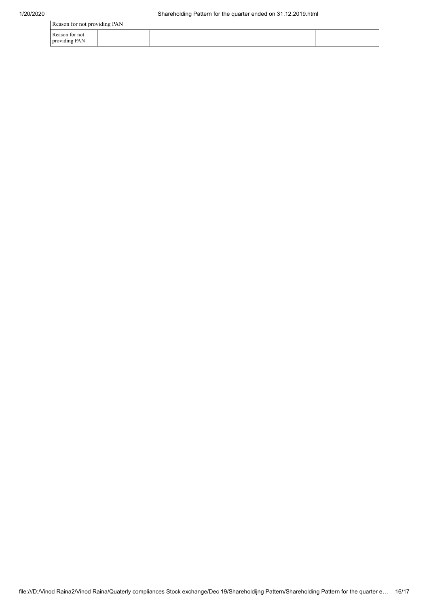| Reason for not providing PAN    |  |  |  |  |  |  |  |
|---------------------------------|--|--|--|--|--|--|--|
| Reason for not<br>providing PAN |  |  |  |  |  |  |  |